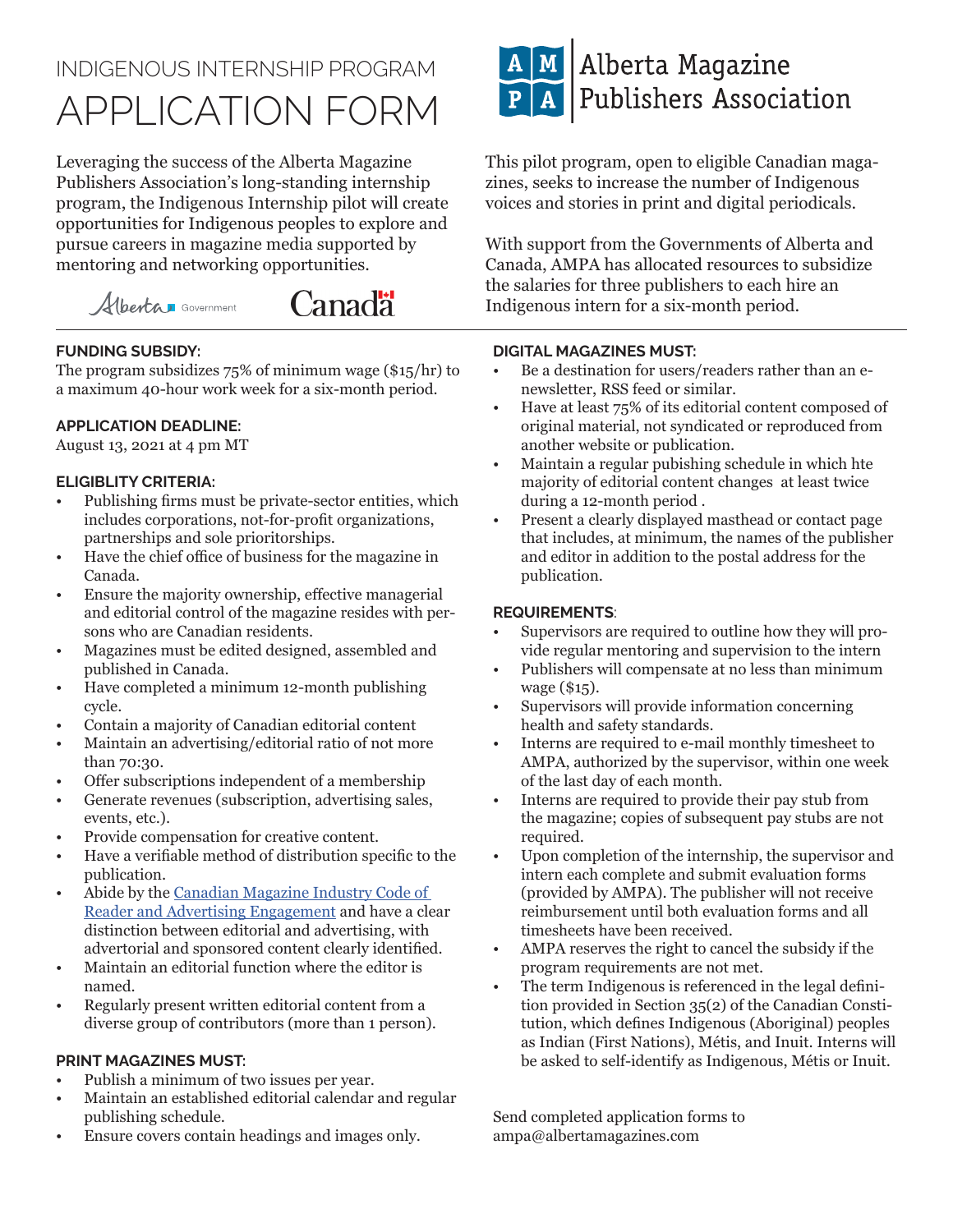# INDIGENOUS INTERNSHIP PROGRAM APPLICATION FORM

Leveraging the success of the Alberta Magazine Publishers Association's long-standing internship program, the Indigenous Internship pilot will create opportunities for Indigenous peoples to explore and pursue careers in magazine media supported by mentoring and networking opportunities.



### **FUNDING SUBSIDY:**

The program subsidizes 75% of minimum wage (\$15/hr) to a maximum 40-hour work week for a six-month period.

#### **APPLICATION DEADLINE:**

August 13, 2021 at 4 pm MT

#### **ELIGIBLITY CRITERIA:**

- Publishing firms must be private-sector entities, which includes corporations, not-for-profit organizations, partnerships and sole prioritorships.
- Have the chief office of business for the magazine in Canada.
- Ensure the majority ownership, effective managerial and editorial control of the magazine resides with persons who are Canadian residents.
- Magazines must be edited designed, assembled and published in Canada.
- Have completed a minimum 12-month publishing cycle.
- Contain a majority of Canadian editorial content
- Maintain an advertising/editorial ratio of not more than 70:30.
- Offer subscriptions independent of a membership
- Generate revenues (subscription, advertising sales, events, etc.).
- Provide compensation for creative content.
- Have a verifiable method of distribution specific to the publication.
- Abide by the Canadian Magazine Industry Code of Reader and Advertising Engagement and have a clear distinction between editorial and advertising, with advertorial and sponsored content clearly identified.
- Maintain an editorial function where the editor is named.
- Regularly present written editorial content from a diverse group of contributors (more than 1 person).

#### **PRINT MAGAZINES MUST:**

- Publish a minimum of two issues per year.
- Maintain an established editorial calendar and regular publishing schedule.
- Ensure covers contain headings and images only.



This pilot program, open to eligible Canadian magazines, seeks to increase the number of Indigenous voices and stories in print and digital periodicals.

With support from the Governments of Alberta and Canada, AMPA has allocated resources to subsidize the salaries for three publishers to each hire an Indigenous intern for a six-month period.

#### **DIGITAL MAGAZINES MUST:**

- Be a destination for users/readers rather than an enewsletter, RSS feed or similar.
- Have at least 75% of its editorial content composed of original material, not syndicated or reproduced from another website or publication.
- Maintain a regular pubishing schedule in which hte majority of editorial content changes at least twice during a 12-month period .
- Present a clearly displayed masthead or contact page that includes, at minimum, the names of the publisher and editor in addition to the postal address for the publication.

#### **REQUIREMENTS**:

- Supervisors are required to outline how they will provide regular mentoring and supervision to the intern
- Publishers will compensate at no less than minimum wage (\$15).
- Supervisors will provide information concerning health and safety standards.
- Interns are required to e-mail monthly timesheet to AMPA, authorized by the supervisor, within one week of the last day of each month.
- Interns are required to provide their pay stub from the magazine; copies of subsequent pay stubs are not required.
- Upon completion of the internship, the supervisor and intern each complete and submit evaluation forms (provided by AMPA). The publisher will not receive reimbursement until both evaluation forms and all timesheets have been received.
- AMPA reserves the right to cancel the subsidy if the program requirements are not met.
- The term Indigenous is referenced in the legal definition provided in Section 35(2) of the Canadian Constitution, which defines Indigenous (Aboriginal) peoples as Indian (First Nations), Métis, and Inuit. Interns will be asked to self-identify as Indigenous, Métis or Inuit.

Send completed application forms to ampa@albertamagazines.com